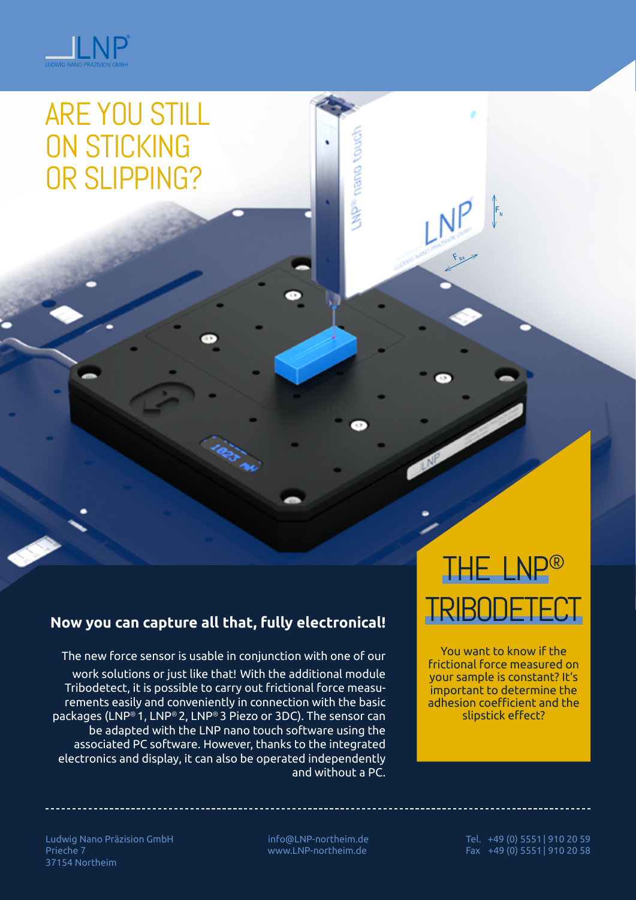

# ARE YOU STILL ON STICKING OR SLIPPING?

### **Now you can capture all that, fully electronical!**

The new force sensor is usable in conjunction with one of our work solutions or just like that! With the additional module Tribodetect, it is possible to carry out frictional force measurements easily and conveniently in connection with the basic packages (LNP® 1, LNP® 2, LNP® 3 Piezo or 3DC). The sensor can be adapted with the LNP nano touch software using the associated PC software. However, thanks to the integrated electronics and display, it can also be operated independently and without a PC.

# THE LNP® TRIBODETE

**NL** 

MP® nano tour

 $F_{\rm N}$ 

You want to know if the frictional force measured on your sample is constant? It's important to determine the adhesion coefficient and the slipstick effect?

Ludwig Nano Präzision GmbH Prieche 7 37154 Northeim

 info@LNP-northeim.de www.LNP-northeim.de